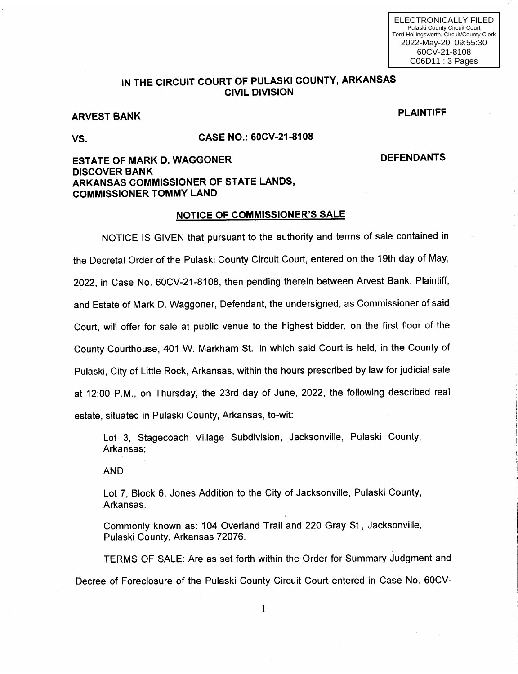## IN THE CIRCUIT COURT OF PULASKI COUNTY, ARKANSAS CIVIL DIVISION

# ARVEST BANK PLAINTIFF

### VS. CASE NO.: 60CV-21-8108

DEFENDANTS

## ESTATE OF MARK D. WAGGONER DISCOVER BANK ARKANSAS COMMISSIONER OF STATE LANDS, COMMISSIONER TOMMY LAND

#### NOTICE OF COMMISSIONER'S SALE

NOTICE lS GIVEN that pursuant to the authority and terms of sale contained in the Decretal Order of the Pulaski County Circuit Court, entered on the 19th day of May, 2022, in Case No.60CV-21-8108, then pending therein between Arvest Bank, Plaintiff, and Estate of Mark D. Waggoner, Defendant, the undersigned, as Commissioner of said Court, will offer for sale at public venue to the highest bidder, on the first floor of the County Courthouse, 401W. Markham St., in which said Court is held, in the County of Pulaski, City of Little Rock, Arkansas, within the hours prescribed by law for judicial sale at 12:00 P.M., on Thursday, the 23rd day of June, 2022, the following described real estate, situated in Pulaski County, Arkansas, to-wit:

Lot 3, Stagecoach Village Subdivision, Jacksonville, Pulaski County, Arkansas;

AND

Lot 7, Block 6, Jones Addition to the City of Jacksonville, Pulaski County, Arkansas.

Commonly known as: 104 Overland Trail and 220 Gray St., Jacksonville, Pulaski County, Arkansas 72076.

TERMS OF SALE: Are as set forth within the Order for Summary Judgment and Decree of Foreclosure of the Pulaski County Circuit Court entered in Case No. 60CV-

 $\mathbf{1}$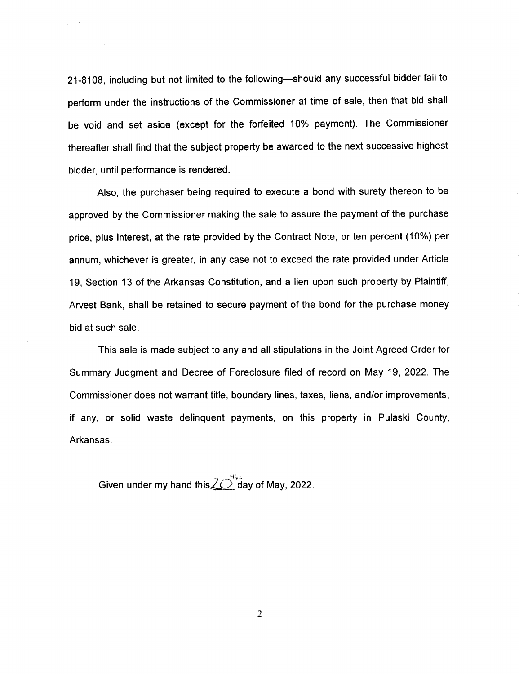21-8108, including but not limited to the following-should any successful bidder fail to perform under the instructions of the Commissioner at time of sale, then that bid shall be void and set aside (except for the forfeited 10% payment). The Commissioner thereafter shall find that the subject property be awarded to the next successive highest bidder, until performance is rendered.

Also, the purchaser being required to execute a bond with surety thereon to be approved by the Commissioner making the sale to assure the payment of the purchase price, plus interest, at the rate provided by the Contract Note, or ten percent (10%) per annum, whichever is greater, in any case not to exceed the rate provided under Article 19, Section 13 of the Arkansas Constitution, and a lien upon such property by Plaintiff, Arvest Bank, shall be retained to secure payment of the bond for the purchase money bid at such sale.

This sale is made subject to any and all stipulations in the Joint Agreed Order for Summary Judgment and Decree of Foreclosure filed of record on May 19, 2022. The Commissioner does not warrant title, boundary lines, taxes, liens, and/or improvements, if any, or solid waste delinquent payments, on this property in Pulaski County, Arkansas.

Given under my hand this $\angle \overline{\angle}$  day of May, 2022.

 $\overline{2}$